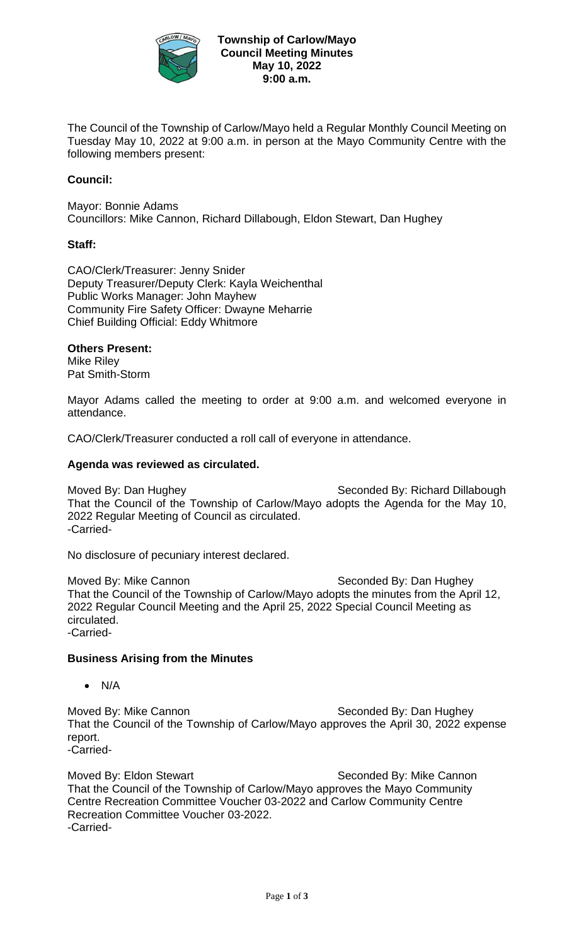

The Council of the Township of Carlow/Mayo held a Regular Monthly Council Meeting on Tuesday May 10, 2022 at 9:00 a.m. in person at the Mayo Community Centre with the following members present:

# **Council:**

Mayor: Bonnie Adams Councillors: Mike Cannon, Richard Dillabough, Eldon Stewart, Dan Hughey

### **Staff:**

CAO/Clerk/Treasurer: Jenny Snider Deputy Treasurer/Deputy Clerk: Kayla Weichenthal Public Works Manager: John Mayhew Community Fire Safety Officer: Dwayne Meharrie Chief Building Official: Eddy Whitmore

### **Others Present:**

Mike Riley Pat Smith-Storm

Mayor Adams called the meeting to order at 9:00 a.m. and welcomed everyone in attendance.

CAO/Clerk/Treasurer conducted a roll call of everyone in attendance.

### **Agenda was reviewed as circulated.**

Moved By: Dan Hughey Noved By: Richard Dillabough That the Council of the Township of Carlow/Mayo adopts the Agenda for the May 10, 2022 Regular Meeting of Council as circulated. -Carried-

No disclosure of pecuniary interest declared.

Moved By: Mike Cannon Seconded By: Dan Hughey That the Council of the Township of Carlow/Mayo adopts the minutes from the April 12, 2022 Regular Council Meeting and the April 25, 2022 Special Council Meeting as circulated. -Carried-

#### **Business Arising from the Minutes**

• N/A

Moved By: Mike Cannon Seconded By: Dan Hughey That the Council of the Township of Carlow/Mayo approves the April 30, 2022 expense report.

-Carried-

Moved By: Eldon Stewart Newslett Seconded By: Mike Cannon That the Council of the Township of Carlow/Mayo approves the Mayo Community Centre Recreation Committee Voucher 03-2022 and Carlow Community Centre Recreation Committee Voucher 03-2022. -Carried-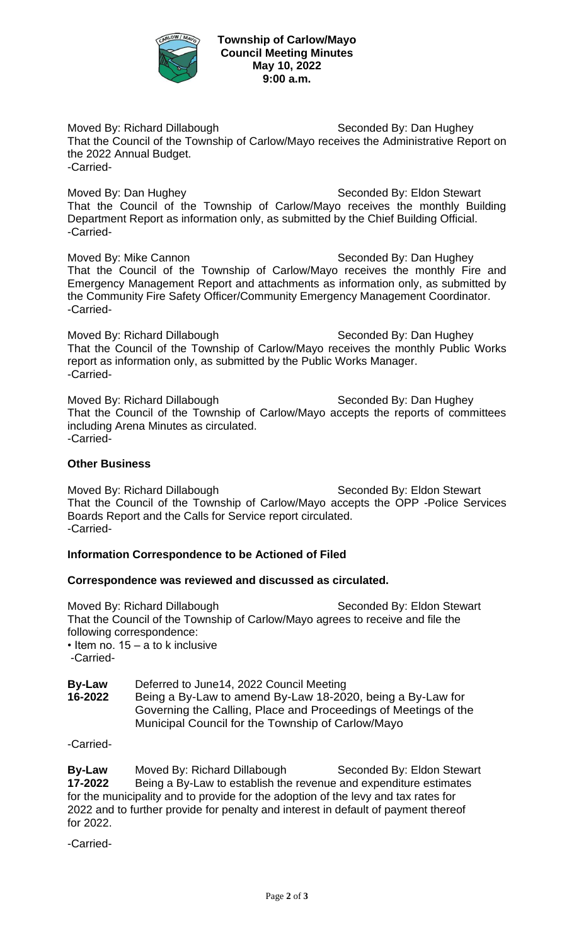

**Township of Carlow/Mayo Council Meeting Minutes May 10, 2022 9:00 a.m.**

Moved By: Richard Dillabough Seconded By: Dan Hughey That the Council of the Township of Carlow/Mayo receives the Administrative Report on the 2022 Annual Budget. -Carried-

Moved By: Dan Hughey Noved By: Eldon Stewart That the Council of the Township of Carlow/Mayo receives the monthly Building Department Report as information only, as submitted by the Chief Building Official. -Carried-

Moved By: Mike Cannon Seconded By: Dan Hughey That the Council of the Township of Carlow/Mayo receives the monthly Fire and Emergency Management Report and attachments as information only, as submitted by the Community Fire Safety Officer/Community Emergency Management Coordinator. -Carried-

Moved By: Richard Dillabough Seconded By: Dan Hughey That the Council of the Township of Carlow/Mayo receives the monthly Public Works report as information only, as submitted by the Public Works Manager. -Carried-

Moved By: Richard Dillabough Seconded By: Dan Hughey That the Council of the Township of Carlow/Mayo accepts the reports of committees including Arena Minutes as circulated. -Carried-

## **Other Business**

Moved By: Richard Dillabough Seconded By: Eldon Stewart That the Council of the Township of Carlow/Mayo accepts the OPP -Police Services Boards Report and the Calls for Service report circulated. -Carried-

## **Information Correspondence to be Actioned of Filed**

## **Correspondence was reviewed and discussed as circulated.**

Moved By: Richard Dillabough Seconded By: Eldon Stewart That the Council of the Township of Carlow/Mayo agrees to receive and file the following correspondence: • Item no. 15 – a to k inclusive

-Carried-

**By-Law** Deferred to June14, 2022 Council Meeting **16-2022** Being a By-Law to amend By-Law 18-2020, being a By-Law for Governing the Calling, Place and Proceedings of Meetings of the Municipal Council for the Township of Carlow/Mayo

-Carried-

**By-Law** Moved By: Richard Dillabough Seconded By: Eldon Stewart<br>17-2022 Being a By-Law to establish the revenue and expenditure estimates **17-2022** Being a By-Law to establish the revenue and expenditure estimates for the municipality and to provide for the adoption of the levy and tax rates for 2022 and to further provide for penalty and interest in default of payment thereof for 2022.

-Carried-